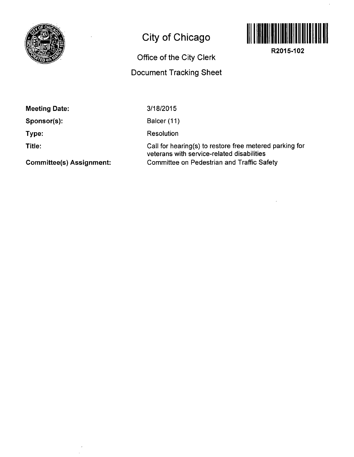

## **City of Chicago**



**R2015-102** 

## Office of the City Clerk Document Tracking Sheet

Meeting Date:

Sponsor(s):

Type:

Title:

3/18/2015

Balcer (11)

Resolution

Call for hearing(s) to restore free metered parking for veterans with service-related disabilities Committee on Pedestrian and Traffic Safety

Committee(s) Assignment: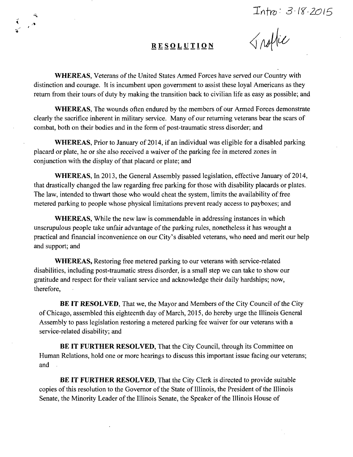$Int_0: 3.18.2015$ <br> *Anothic* 

## **RESOLUTIO N**

WHEREAS, Veterans of the United States Armed Forces have served our Country with distinction and courage. It is incumbent upon government to assist these loyal Americans as they retum from their tours of duty by making the transition back to civilian life as easy as possible; and

WHEREAS, The wounds often endured by the members of our Armed Forces demonstrate clearly the sacrifice inherent in military service. Many of our retuming veterans bear the scars of combat, both on their bodies and in the form of post-traumatic stress disorder; and

WHEREAS, Prior to January of 2014, if an individual was eligible for a disabled parking placard or plate, he or she also received a waiver of the parking fee in metered zones in conjunction with the display of that placard or plate; and

WHEREAS, In 2013, the General Assembly passed legislation, effective January of 2014, that drastically changed the law regarding free parking for those with disability placards or plates. The law, intended to thwart those who would cheat the system, limits the availability of free metered parking to people whose physical limitations prevent ready access to payboxes; and

WHEREAS, While the new law is commendable in addressing instances in which unscrupulous people take unfair advantage of the parking rules, nonetheless it has wrought a practical and fmancial inconvenience on our City's disabled veterans, who need and merit our help and support; and

WHEREAS, Restoring free metered parking to our veterans with service-related disabilities, including post-traumatic stress disorder, is a small step we can take to show our gratitude and respect for their valiant service and acknowledge their daily hardships; now, therefore,

BE IT RESOLVED, That we, the Mayor and Members of the City Council of the City of Chicago, assembled this eighteenth day of March, 2015, do hereby urge the Illinois General Assembly to pass legislation restoring a metered parking fee waiver for our veterans with a service-related disability; and

BE IT FURTHER RESOLVED, That the City Council, through its Committee on Human Relations, hold one or more hearings to discuss this important issue facing our veterans; and

BE IT FURTHER RESOLVED, That the City Clerk is directed to provide suitable copies of this resolution to the Governor of the State of Illinois, the President of the Illinois Senate, the Minority Leader of the Illinois Senate, the Speaker of the Illinois House of